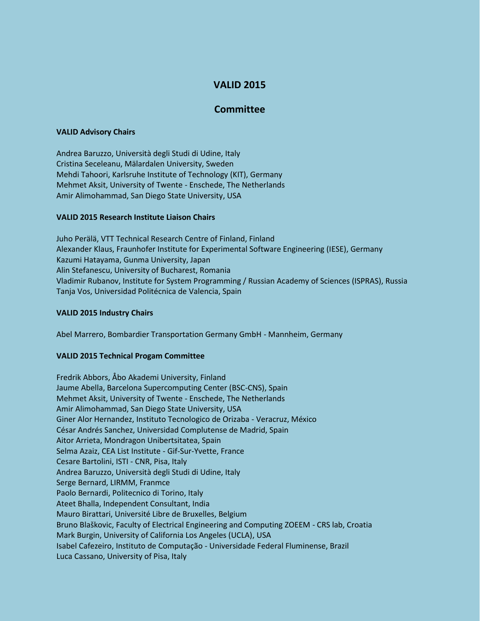# **VALID 2015**

# **Committee**

#### **VALID Advisory Chairs**

Andrea Baruzzo, Università degli Studi di Udine, Italy Cristina Seceleanu, Mälardalen University, Sweden Mehdi Tahoori, Karlsruhe Institute of Technology (KIT), Germany Mehmet Aksit, University of Twente - Enschede, The Netherlands Amir Alimohammad, San Diego State University, USA

## **VALID 2015 Research Institute Liaison Chairs**

Juho Perälä, VTT Technical Research Centre of Finland, Finland Alexander Klaus, Fraunhofer Institute for Experimental Software Engineering (IESE), Germany Kazumi Hatayama, Gunma University, Japan Alin Stefanescu, University of Bucharest, Romania Vladimir Rubanov, Institute for System Programming / Russian Academy of Sciences (ISPRAS), Russia Tanja Vos, Universidad Politécnica de Valencia, Spain

#### **VALID 2015 Industry Chairs**

Abel Marrero, Bombardier Transportation Germany GmbH - Mannheim, Germany

## **VALID 2015 Technical Progam Committee**

Fredrik Abbors, Åbo Akademi University, Finland Jaume Abella, Barcelona Supercomputing Center (BSC-CNS), Spain Mehmet Aksit, University of Twente - Enschede, The Netherlands Amir Alimohammad, San Diego State University, USA Giner Alor Hernandez, Instituto Tecnologico de Orizaba - Veracruz, México César Andrés Sanchez, Universidad Complutense de Madrid, Spain Aitor Arrieta, Mondragon Unibertsitatea, Spain Selma Azaiz, CEA List Institute - Gif-Sur-Yvette, France Cesare Bartolini, ISTI - CNR, Pisa, Italy Andrea Baruzzo, Università degli Studi di Udine, Italy Serge Bernard, LIRMM, Franmce Paolo Bernardi, Politecnico di Torino, Italy Ateet Bhalla, Independent Consultant, India Mauro Birattari, Université Libre de Bruxelles, Belgium Bruno Blaškovic, Faculty of Electrical Engineering and Computing ZOEEM - CRS lab, Croatia Mark Burgin, University of California Los Angeles (UCLA), USA Isabel Cafezeiro, Instituto de Computação - Universidade Federal Fluminense, Brazil Luca Cassano, University of Pisa, Italy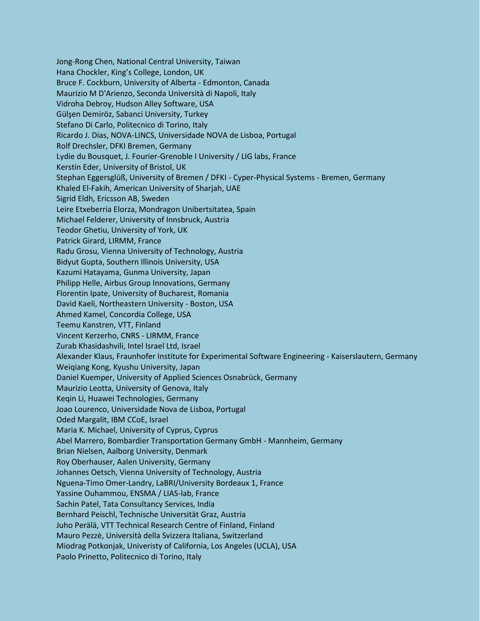Jong-Rong Chen, National Central University, Taiwan Hana Chockler, King's College, London, UK Bruce F. Cockburn, University of Alberta - Edmonton, Canada Maurizio M D'Arienzo, Seconda Università di Napoli, Italy Vidroha Debroy, Hudson Alley Software, USA Gülşen Demiröz, Sabanci University, Turkey Stefano Di Carlo, Politecnico di Torino, Italy Ricardo J. Dias, NOVA-LINCS, Universidade NOVA de Lisboa, Portugal Rolf Drechsler, DFKI Bremen, Germany Lydie du Bousquet, J. Fourier-Grenoble I University / LIG labs, France Kerstin Eder, University of Bristol, UK Stephan Eggersglüß, University of Bremen / DFKI - Cyper-Physical Systems - Bremen, Germany Khaled El-Fakih, American University of Sharjah, UAE Sigrid Eldh, Ericsson AB, Sweden Leire Etxeberria Elorza, Mondragon Unibertsitatea, Spain Michael Felderer, University of Innsbruck, Austria Teodor Ghetiu, University of York, UK Patrick Girard, LIRMM, France Radu Grosu, Vienna University of Technology, Austria Bidyut Gupta, Southern Illinois University, USA Kazumi Hatayama, Gunma University, Japan Philipp Helle, Airbus Group Innovations, Germany Florentin Ipate, University of Bucharest, Romania David Kaeli, Northeastern University - Boston, USA Ahmed Kamel, Concordia College, USA Teemu Kanstren, VTT, Finland Vincent Kerzerho, CNRS - LIRMM, France Zurab Khasidashvili, Intel Israel Ltd, Israel Alexander Klaus, Fraunhofer Institute for Experimental Software Engineering - Kaiserslautern, Germany Weiqiang Kong, Kyushu University, Japan Daniel Kuemper, University of Applied Sciences Osnabrück, Germany Maurizio Leotta, University of Genova, Italy Keqin Li, Huawei Technologies, Germany Joao Lourenco, Universidade Nova de Lisboa, Portugal Oded Margalit, IBM CCoE, Israel Maria K. Michael, University of Cyprus, Cyprus Abel Marrero, Bombardier Transportation Germany GmbH - Mannheim, Germany Brian Nielsen, Aalborg University, Denmark Roy Oberhauser, Aalen University, Germany Johannes Oetsch, Vienna University of Technology, Austria Nguena-Timo Omer-Landry, LaBRI/University Bordeaux 1, France Yassine Ouhammou, ENSMA / LIAS-lab, France Sachin Patel, Tata Consultancy Services, India Bernhard Peischl, Technische Universität Graz, Austria Juho Perälä, VTT Technical Research Centre of Finland, Finland Mauro Pezzè, Università della Svizzera Italiana, Switzerland Miodrag Potkonjak, Univeristy of California, Los Angeles (UCLA), USA Paolo Prinetto, Politecnico di Torino, Italy